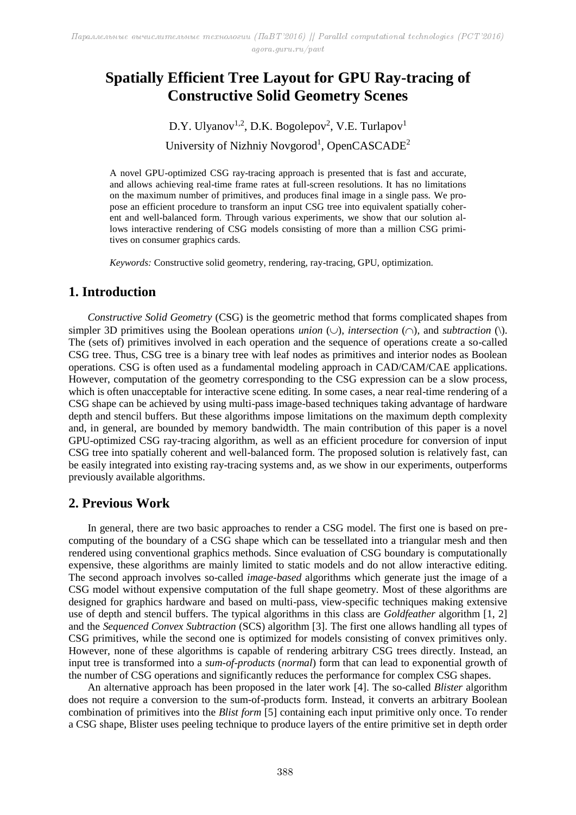# **Spatially Efficient Tree Layout for GPU Ray-tracing of Constructive Solid Geometry Scenes**

D.Y. Ulyanov<sup>1,2</sup>, D.K. Bogolepov<sup>2</sup>, V.E. Turlapov<sup>1</sup> University of Nizhniy Novgorod<sup>1</sup>, OpenCASCADE<sup>2</sup>

A novel GPU-optimized CSG ray-tracing approach is presented that is fast and accurate, and allows achieving real-time frame rates at full-screen resolutions. It has no limitations on the maximum number of primitives, and produces final image in a single pass. We propose an efficient procedure to transform an input CSG tree into equivalent spatially coherent and well-balanced form. Through various experiments, we show that our solution allows interactive rendering of CSG models consisting of more than a million CSG primitives on consumer graphics cards.

*Keywords:* Constructive solid geometry, rendering, ray-tracing, GPU, optimization.

### **1. Introduction**

*Constructive Solid Geometry* (CSG) is the geometric method that forms complicated shapes from simpler 3D primitives using the Boolean operations *union* ( $\cup$ ), *intersection* ( $\cap$ ), and *subtraction* ( $\setminus$ ). The (sets of) primitives involved in each operation and the sequence of operations create a so-called CSG tree. Thus, CSG tree is a binary tree with leaf nodes as primitives and interior nodes as Boolean operations. CSG is often used as a fundamental modeling approach in CAD/CAM/CAE applications. However, computation of the geometry corresponding to the CSG expression can be a slow process, which is often unacceptable for interactive scene editing. In some cases, a near real-time rendering of a CSG shape can be achieved by using multi-pass image-based techniques taking advantage of hardware depth and stencil buffers. But these algorithms impose limitations on the maximum depth complexity and, in general, are bounded by memory bandwidth. The main contribution of this paper is a novel GPU-optimized CSG ray-tracing algorithm, as well as an efficient procedure for conversion of input CSG tree into spatially coherent and well-balanced form. The proposed solution is relatively fast, can be easily integrated into existing ray-tracing systems and, as we show in our experiments, outperforms previously available algorithms.

### **2. Previous Work**

In general, there are two basic approaches to render a CSG model. The first one is based on precomputing of the boundary of a CSG shape which can be tessellated into a triangular mesh and then rendered using conventional graphics methods. Since evaluation of CSG boundary is computationally expensive, these algorithms are mainly limited to static models and do not allow interactive editing. The second approach involves so-called *image-based* algorithms which generate just the image of a CSG model without expensive computation of the full shape geometry. Most of these algorithms are designed for graphics hardware and based on multi-pass, view-specific techniques making extensive use of depth and stencil buffers. The typical algorithms in this class are *Goldfeather* algorithm [1, 2] and the *Sequenced Convex Subtraction* (SCS) algorithm [3]. The first one allows handling all types of CSG primitives, while the second one is optimized for models consisting of convex primitives only. However, none of these algorithms is capable of rendering arbitrary CSG trees directly. Instead, an input tree is transformed into a *sum-of-products* (*normal*) form that can lead to exponential growth of the number of CSG operations and significantly reduces the performance for complex CSG shapes.

An alternative approach has been proposed in the later work [4]. The so-called *Blister* algorithm does not require a conversion to the sum-of-products form. Instead, it converts an arbitrary Boolean combination of primitives into the *Blist form* [5] containing each input primitive only once. To render a CSG shape, Blister uses peeling technique to produce layers of the entire primitive set in depth order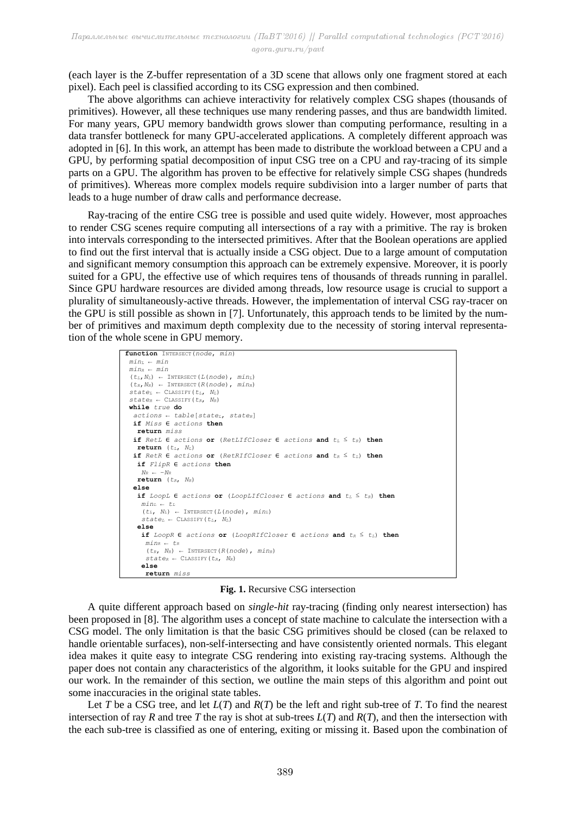(each layer is the Z-buffer representation of a 3D scene that allows only one fragment stored at each pixel). Each peel is classified according to its CSG expression and then combined.

The above algorithms can achieve interactivity for relatively complex CSG shapes (thousands of primitives). However, all these techniques use many rendering passes, and thus are bandwidth limited. For many years, GPU memory bandwidth grows slower than computing performance, resulting in a data transfer bottleneck for many GPU-accelerated applications. A completely different approach was adopted in [6]. In this work, an attempt has been made to distribute the workload between a CPU and a GPU, by performing spatial decomposition of input CSG tree on a CPU and ray-tracing of its simple parts on a GPU. The algorithm has proven to be effective for relatively simple CSG shapes (hundreds of primitives). Whereas more complex models require subdivision into a larger number of parts that leads to a huge number of draw calls and performance decrease.

Ray-tracing of the entire CSG tree is possible and used quite widely. However, most approaches to render CSG scenes require computing all intersections of a ray with a primitive. The ray is broken into intervals corresponding to the intersected primitives. After that the Boolean operations are applied to find out the first interval that is actually inside a CSG object. Due to a large amount of computation and significant memory consumption this approach can be extremely expensive. Moreover, it is poorly suited for a GPU, the effective use of which requires tens of thousands of threads running in parallel. Since GPU hardware resources are divided among threads, low resource usage is crucial to support a plurality of simultaneously-active threads. However, the implementation of interval CSG ray-tracer on the GPU is still possible as shown in [7]. Unfortunately, this approach tends to be limited by the number of primitives and maximum depth complexity due to the necessity of storing interval representation of the whole scene in GPU memory.

```
function INTERSECT(node, min)
minL ← min
 minR ← min
 (t_L, N_L) ← INTERSECT (L(node), min_L)
 (t_R, N_R) \leftarrow INTERSECT (R(node), min_R)
state_L \leftarrow CLASSIFY (t_L, N_L)state<sup>R</sup> ← CLASSIFY (t_R, N_R)while true do
   actions ← table[stateL, stateR]
   if Miss ∈ actions then
    return miss
   if RetL ∈ actions or (RetLIfCloser ∈ actions and tL ≤ tR) then
    return (tL, NL)
   if RetR ∈ actions or (RetRIfCloser ∈ actions and tR ≤ tL) then
   if FlipR ∈ actions then
    N_R ← -N_R return (tR, NR)
   else
   if LoopL ∈ actions or (LoopLIfCloser ∈ actions and t_L ≤ t_R) then
    min<sub>L</sub> ← t<sub>L</sub>(t_t, N_t) \leftarrow INTERSECT (L(node), min_t)state<sub>L</sub> ← CLASSIFY (t<sub>L</sub>, N<sub>L</sub>)
    else
     if LoopR ∈ actions or (LoopRIfCloser ∈ actions and tR ≤ tL) then
     minR ← tR
      (t_R, N_R) \leftarrow INTERSECT (R(node), min_R)
      state<sup>R</sup> ← CLASSIFY (t_R, N_R) else
      return miss
```
**Fig. 1.** Recursive CSG intersection

A quite different approach based on *single-hit* ray-tracing (finding only nearest intersection) has been proposed in [8]. The algorithm uses a concept of state machine to calculate the intersection with a CSG model. The only limitation is that the basic CSG primitives should be closed (can be relaxed to handle orientable surfaces), non-self-intersecting and have consistently oriented normals. This elegant idea makes it quite easy to integrate CSG rendering into existing ray-tracing systems. Although the paper does not contain any characteristics of the algorithm, it looks suitable for the GPU and inspired our work. In the remainder of this section, we outline the main steps of this algorithm and point out some inaccuracies in the original state tables.

Let *T* be a CSG tree, and let *L*(*T*) and *R*(*T*) be the left and right sub-tree of *T*. To find the nearest intersection of ray *R* and tree *T* the ray is shot at sub-trees  $L(T)$  and  $R(T)$ , and then the intersection with the each sub-tree is classified as one of entering, exiting or missing it. Based upon the combination of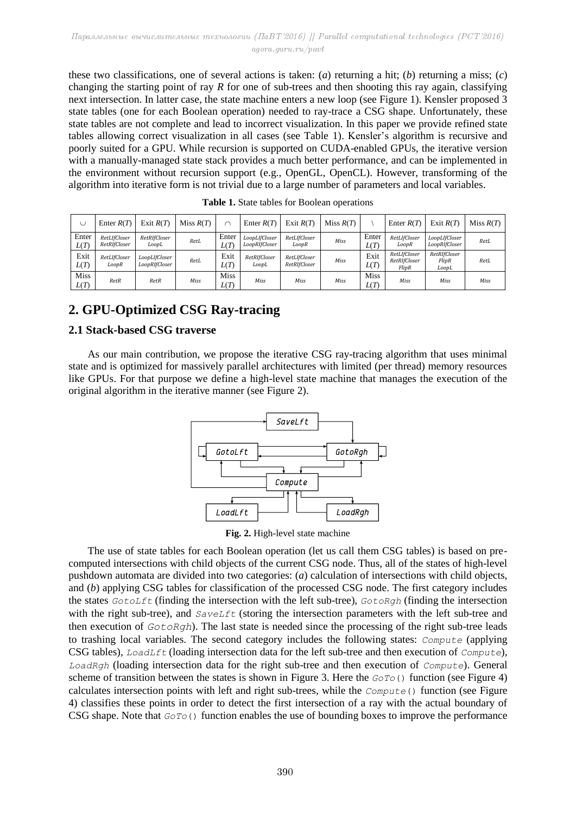these two classifications, one of several actions is taken: (*a*) returning a hit; (*b*) returning a miss; (*c*) changing the starting point of ray *R* for one of sub-trees and then shooting this ray again, classifying next intersection. In latter case, the state machine enters a new loop (see Figure 1). Kensler proposed 3 state tables (one for each Boolean operation) needed to ray-trace a CSG shape. Unfortunately, these state tables are not complete and lead to incorrect visualization. In this paper we provide refined state tables allowing correct visualization in all cases (see Table 1). Kensler's algorithm is recursive and poorly suited for a GPU. While recursion is supported on CUDA-enabled GPUs, the iterative version with a manually-managed state stack provides a much better performance, and can be implemented in the environment without recursion support (e.g., OpenGL, OpenCL). However, transforming of the algorithm into iterative form is not trivial due to a large number of parameters and local variables.

| U                   | Enter $R(T)$                 | Exit $R(T)$                    | Miss $R(T)$ |                     | Enter $R(T)$                   | Exit $R(T)$                  | Miss $R(T)$ |                     | Enter $R(T)$                          | Exit $R(T)$                    | Miss $R(T)$ |
|---------------------|------------------------------|--------------------------------|-------------|---------------------|--------------------------------|------------------------------|-------------|---------------------|---------------------------------------|--------------------------------|-------------|
| Enter<br>L(T)       | RetLIfCloser<br>RetRIfCloser | RetRIfCloser<br>LoopL          | RetL        | Enter<br>L(T)       | LoopLIfCloser<br>LoopRIfCloser | RetLIfCloser<br>LoopR        | Miss        | Enter<br>L(T)       | RetLIfCloser<br>LoopR                 | LoopLIfCloser<br>LoopRIfCloser | RetL        |
| Exit<br>L(T)        | RetLIfCloser<br>LoopR        | LoopLIfCloser<br>LoopRIfCloser | RetL        | Exit<br>L(T)        | RetRIfCloser<br>LoopL          | RetLIfCloser<br>RetRIfCloser | Miss        | Exit<br>L(T)        | RetLIfCloser<br>RetRIfCloser<br>FlipR | RetRIfCloser<br>FlipR<br>LoopL | RetL        |
| <b>Miss</b><br>L(T) | RetR                         | RetR                           | Miss        | <b>Miss</b><br>L(T) | <b>Miss</b>                    | Miss                         | Miss        | <b>Miss</b><br>L(T) | Miss                                  | Miss                           | Miss        |

**Table 1.** State tables for Boolean operations

## **2. GPU-Optimized CSG Ray-tracing**

### **2.1 Stack-based CSG traverse**

As our main contribution, we propose the iterative CSG ray-tracing algorithm that uses minimal state and is optimized for massively parallel architectures with limited (per thread) memory resources like GPUs. For that purpose we define a high-level state machine that manages the execution of the original algorithm in the iterative manner (see Figure 2).



**Fig. 2.** High-level state machine

The use of state tables for each Boolean operation (let us call them CSG tables) is based on precomputed intersections with child objects of the current CSG node. Thus, all of the states of high-level pushdown automata are divided into two categories: (*a*) calculation of intersections with child objects, and (*b*) applying CSG tables for classification of the processed CSG node. The first category includes the states *GotoLft* (finding the intersection with the left sub-tree), *GotoRgh* (finding the intersection with the right sub-tree), and *SaveLft* (storing the intersection parameters with the left sub-tree and then execution of *GotoRgh*). The last state is needed since the processing of the right sub-tree leads to trashing local variables. The second category includes the following states: *Compute* (applying CSG tables), *LoadLft* (loading intersection data for the left sub-tree and then execution of *Compute*), *LoadRgh* (loading intersection data for the right sub-tree and then execution of *Compute*). General scheme of transition between the states is shown in Figure 3. Here the *GoTo*() function (see Figure 4) calculates intersection points with left and right sub-trees, while the *Compute*() function (see Figure 4) classifies these points in order to detect the first intersection of a ray with the actual boundary of CSG shape. Note that *GoTo*() function enables the use of bounding boxes to improve the performance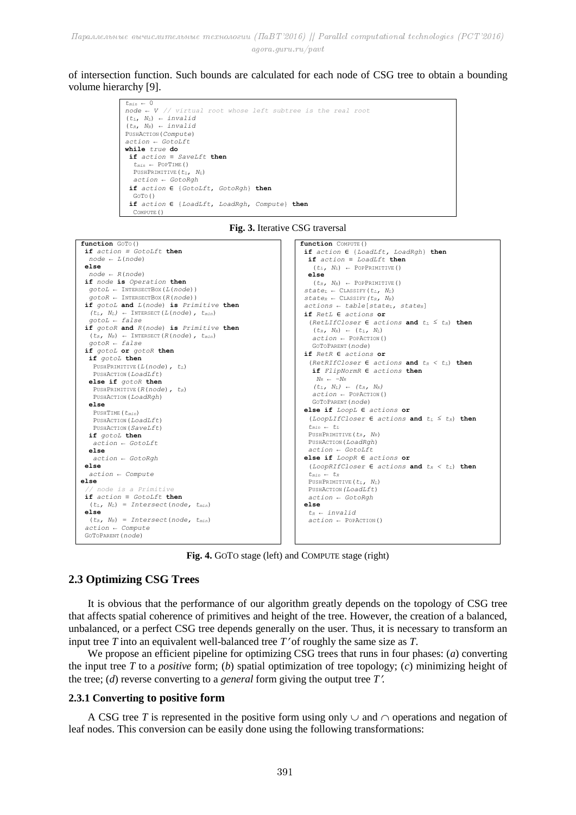#### of intersection function. Such bounds are calculated for each node of CSG tree to obtain a bounding volume hierarchy [9].





**Fig. 3.** Iterative CSG traversal

**Fig. 4.** GOTO stage (left) and COMPUTE stage (right)

#### **2.3 Optimizing CSG Trees**

It is obvious that the performance of our algorithm greatly depends on the topology of CSG tree that affects spatial coherence of primitives and height of the tree. However, the creation of a balanced, unbalanced, or a perfect CSG tree depends generally on the user. Thus, it is necessary to transform an input tree *T* into an equivalent well-balanced tree *T* of roughly the same size as *T*.

We propose an efficient pipeline for optimizing CSG trees that runs in four phases: (*a*) converting the input tree *T* to a *positive* form; (*b*) spatial optimization of tree topology; (*c*) minimizing height of the tree; (*d*) reverse converting to a *general* form giving the output tree *T*.

#### **2.3.1 Converting to positive form**

A CSG tree T is represented in the positive form using only  $\cup$  and  $\cap$  operations and negation of leaf nodes. This conversion can be easily done using the following transformations: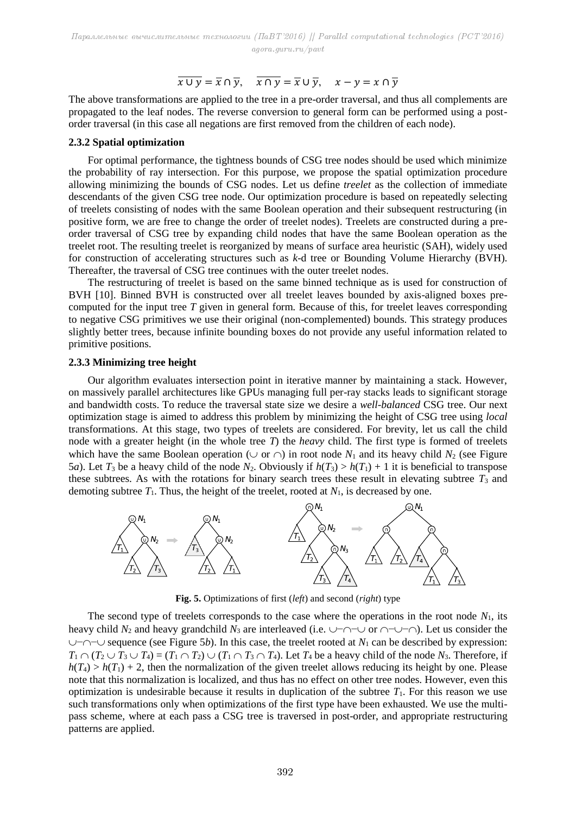## $\overline{x \cup y} = \overline{x} \cap \overline{y}, \quad \overline{x \cap y} = \overline{x} \cup \overline{y}, \quad x - y = x \cap \overline{y}$

The above transformations are applied to the tree in a pre-order traversal, and thus all complements are propagated to the leaf nodes. The reverse conversion to general form can be performed using a postorder traversal (in this case all negations are first removed from the children of each node).

#### **2.3.2 Spatial optimization**

For optimal performance, the tightness bounds of CSG tree nodes should be used which minimize the probability of ray intersection. For this purpose, we propose the spatial optimization procedure allowing minimizing the bounds of CSG nodes. Let us define *treelet* as the collection of immediate descendants of the given CSG tree node. Our optimization procedure is based on repeatedly selecting of treelets consisting of nodes with the same Boolean operation and their subsequent restructuring (in positive form, we are free to change the order of treelet nodes). Treelets are constructed during a preorder traversal of CSG tree by expanding child nodes that have the same Boolean operation as the treelet root. The resulting treelet is reorganized by means of surface area heuristic (SAH), widely used for construction of accelerating structures such as *k*-d tree or Bounding Volume Hierarchy (BVH). Thereafter, the traversal of CSG tree continues with the outer treelet nodes.

The restructuring of treelet is based on the same binned technique as is used for construction of BVH [10]. Binned BVH is constructed over all treelet leaves bounded by axis-aligned boxes precomputed for the input tree *T* given in general form. Because of this, for treelet leaves corresponding to negative CSG primitives we use their original (non-complemented) bounds. This strategy produces slightly better trees, because infinite bounding boxes do not provide any useful information related to primitive positions.

#### **2.3.3 Minimizing tree height**

Our algorithm evaluates intersection point in iterative manner by maintaining a stack. However, on massively parallel architectures like GPUs managing full per-ray stacks leads to significant storage and bandwidth costs. To reduce the traversal state size we desire a *well-balanced* CSG tree. Our next optimization stage is aimed to address this problem by minimizing the height of CSG tree using *local* transformations. At this stage, two types of treelets are considered. For brevity, let us call the child node with a greater height (in the whole tree *T*) the *heavy* child. The first type is formed of treelets which have the same Boolean operation ( $\cup$  or  $\cap$ ) in root node  $N_1$  and its heavy child  $N_2$  (see Figure 5*a*). Let  $T_3$  be a heavy child of the node  $N_2$ . Obviously if  $h(T_3) > h(T_1) + 1$  it is beneficial to transpose these subtrees. As with the rotations for binary search trees these result in elevating subtree  $T_3$  and demoting subtree  $T_1$ . Thus, the height of the treelet, rooted at  $N_1$ , is decreased by one.



**Fig. 5.** Optimizations of first (*left*) and second (*right*) type

The second type of treelets corresponds to the case where the operations in the root node  $N_1$ , its heavy child  $N_2$  and heavy grandchild  $N_3$  are interleaved (i.e.  $\cup \neg \cap \cup$  or  $\cap \neg \cup \neg \cap$ ). Let us consider the  $\cup$ − $\cap$ − $\cup$  sequence (see Figure 5*b*). In this case, the treelet rooted at *N*<sub>1</sub> can be described by expression:  $T_1 \cap (T_2 \cup T_3 \cup T_4) = (T_1 \cap T_2) \cup (T_1 \cap T_3 \cap T_4)$ . Let  $T_4$  be a heavy child of the node  $N_3$ . Therefore, if  $h(T_4) > h(T_1) + 2$ , then the normalization of the given treelet allows reducing its height by one. Please note that this normalization is localized, and thus has no effect on other tree nodes. However, even this optimization is undesirable because it results in duplication of the subtree  $T_1$ . For this reason we use such transformations only when optimizations of the first type have been exhausted. We use the multipass scheme, where at each pass a CSG tree is traversed in post-order, and appropriate restructuring patterns are applied.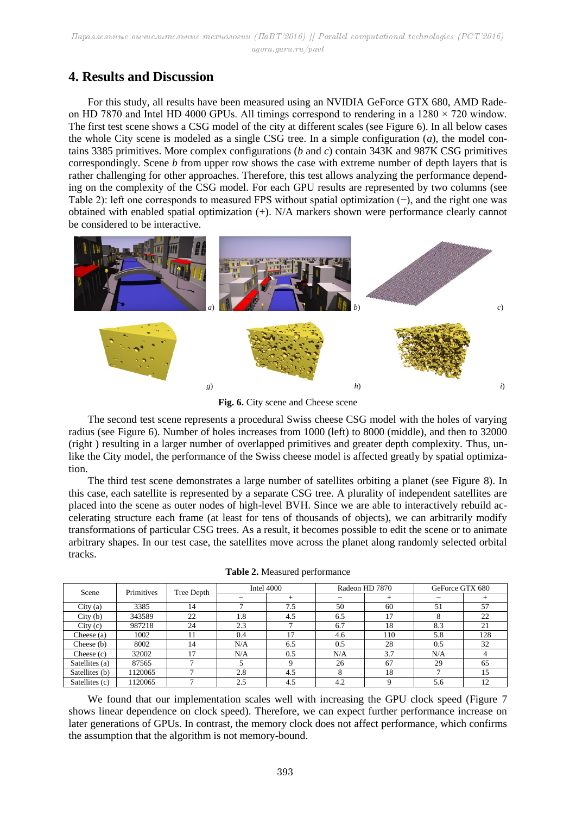## **4. Results and Discussion**

For this study, all results have been measured using an NVIDIA GeForce GTX 680, AMD Radeon HD 7870 and Intel HD 4000 GPUs. All timings correspond to rendering in a  $1280 \times 720$  window. The first test scene shows a CSG model of the city at different scales (see Figure 6). In all below cases the whole City scene is modeled as a single CSG tree. In a simple configuration (*a*), the model contains 3385 primitives. More complex configurations (*b* and *c*) contain 343K and 987K CSG primitives correspondingly. Scene *b* from upper row shows the case with extreme number of depth layers that is rather challenging for other approaches. Therefore, this test allows analyzing the performance depending on the complexity of the CSG model. For each GPU results are represented by two columns (see Table 2): left one corresponds to measured FPS without spatial optimization (−), and the right one was obtained with enabled spatial optimization (+). N/A markers shown were performance clearly cannot be considered to be interactive.



**Fig. 6.** City scene and Cheese scene

The second test scene represents a procedural Swiss cheese CSG model with the holes of varying radius (see Figure 6). Number of holes increases from 1000 (left) to 8000 (middle), and then to 32000 (right ) resulting in a larger number of overlapped primitives and greater depth complexity. Thus, unlike the City model, the performance of the Swiss cheese model is affected greatly by spatial optimization.

The third test scene demonstrates a large number of satellites orbiting a planet (see Figure 8). In this case, each satellite is represented by a separate CSG tree. A plurality of independent satellites are placed into the scene as outer nodes of high-level BVH. Since we are able to interactively rebuild accelerating structure each frame (at least for tens of thousands of objects), we can arbitrarily modify transformations of particular CSG trees. As a result, it becomes possible to edit the scene or to animate arbitrary shapes. In our test case, the satellites move across the planet along randomly selected orbital tracks.

| Scene          | Primitives | Tree Depth |     | Intel $4000$ |     | Radeon HD 7870 | GeForce GTX 680 |     |
|----------------|------------|------------|-----|--------------|-----|----------------|-----------------|-----|
|                |            |            |     |              |     |                |                 |     |
| City(a)        | 3385       | 14         |     | 7.5          | 50  | 60             | 51              | 57  |
| City(b)        | 343589     | 22         | 1.8 | 4.5          | 6.5 |                |                 | 22  |
| City(c)        | 987218     | 24         | 2.3 |              | 6.7 | 18             | 8.3             | 21  |
| Cheese $(a)$   | 1002       |            | 0.4 | 17           | 4.6 | 110            | 5.8             | 128 |
| Cheese (b)     | 8002       | 14         | N/A | 6.5          | 0.5 | 28             | 0.5             | 32  |
| Cheese $(c)$   | 32002      |            | N/A | 0.5          | N/A | 3.7            | N/A             |     |
| Satellites (a) | 87565      |            |     |              | 26  | 67             | 29              | 65  |
| Satellites (b) | 1120065    |            | 2.8 | 4.5          | Δ   | 18             |                 | 15  |
| Satellites (c) | 1120065    |            | 2.5 | 4.5          | 4.2 |                | 5.6             | 12  |

**Table 2.** Measured performance

We found that our implementation scales well with increasing the GPU clock speed (Figure 7) shows linear dependence on clock speed). Therefore, we can expect further performance increase on later generations of GPUs. In contrast, the memory clock does not affect performance, which confirms the assumption that the algorithm is not memory-bound.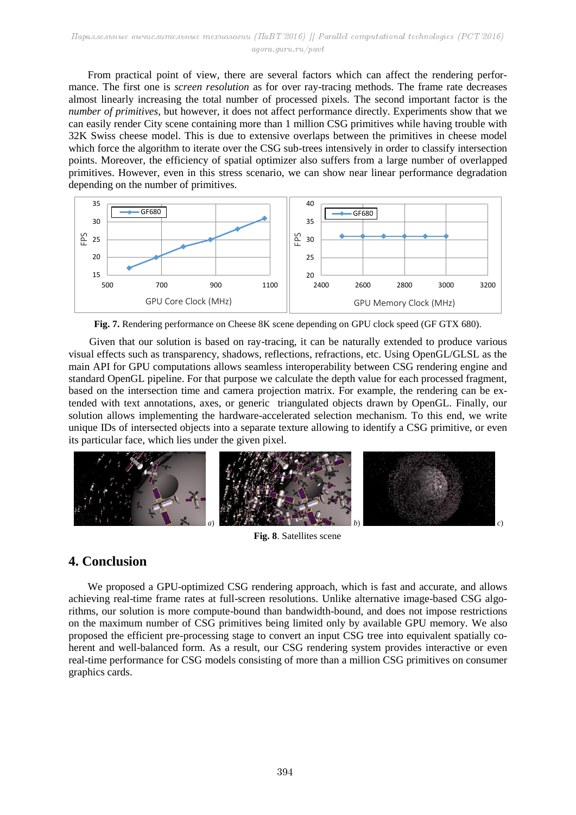From practical point of view, there are several factors which can affect the rendering performance. The first one is *screen resolution* as for over ray-tracing methods. The frame rate decreases almost linearly increasing the total number of processed pixels. The second important factor is the *number of primitives*, but however, it does not affect performance directly. Experiments show that we can easily render City scene containing more than 1 million CSG primitives while having trouble with 32K Swiss cheese model. This is due to extensive overlaps between the primitives in cheese model which force the algorithm to iterate over the CSG sub-trees intensively in order to classify intersection points. Moreover, the efficiency of spatial optimizer also suffers from a large number of overlapped primitives. However, even in this stress scenario, we can show near linear performance degradation depending on the number of primitives.



**Fig. 7.** Rendering performance on Cheese 8K scene depending on GPU clock speed (GF GTX 680).

Given that our solution is based on ray-tracing, it can be naturally extended to produce various visual effects such as transparency, shadows, reflections, refractions, etc. Using OpenGL/GLSL as the main API for GPU computations allows seamless interoperability between CSG rendering engine and standard OpenGL pipeline. For that purpose we calculate the depth value for each processed fragment, based on the intersection time and camera projection matrix. For example, the rendering can be extended with text annotations, axes, or generic triangulated objects drawn by OpenGL. Finally, our solution allows implementing the hardware-accelerated selection mechanism. To this end, we write unique IDs of intersected objects into a separate texture allowing to identify a CSG primitive, or even its particular face, which lies under the given pixel.



**Fig. 8**. Satellites scene

## **4. Conclusion**

We proposed a GPU-optimized CSG rendering approach, which is fast and accurate, and allows achieving real-time frame rates at full-screen resolutions. Unlike alternative image-based CSG algorithms, our solution is more compute-bound than bandwidth-bound, and does not impose restrictions on the maximum number of CSG primitives being limited only by available GPU memory. We also proposed the efficient pre-processing stage to convert an input CSG tree into equivalent spatially coherent and well-balanced form. As a result, our CSG rendering system provides interactive or even real-time performance for CSG models consisting of more than a million CSG primitives on consumer graphics cards.